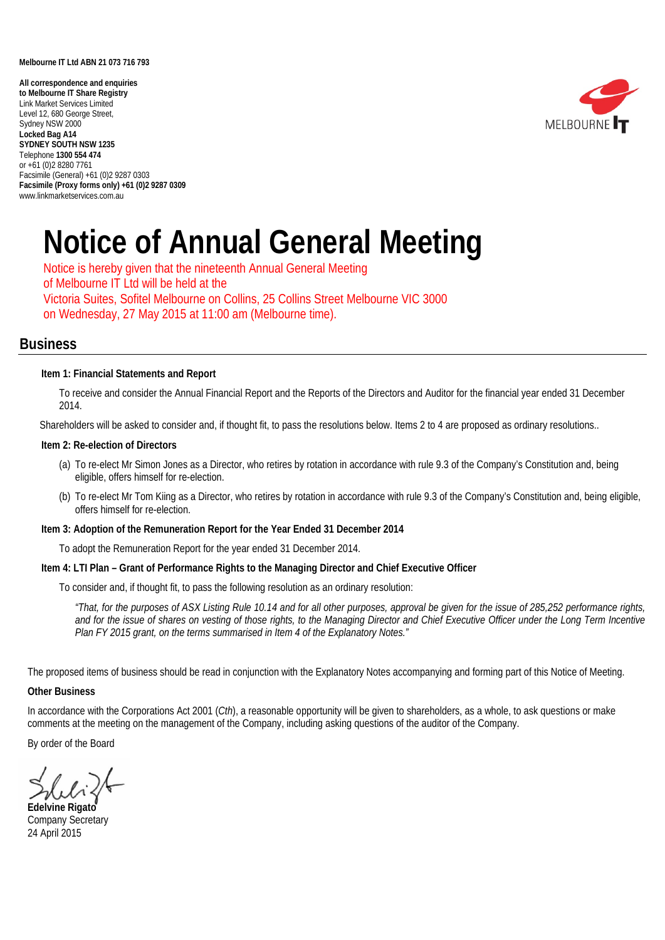#### **Melbourne IT Ltd ABN 21 073 716 793**

 www.linkmarketservices.com.au**All correspondence and enquiries to Melbourne IT Share Registry** Link Market Services Limited Level 12, 680 George Street, Sydney NSW 2000 **Locked Bag A14 SYDNEY SOUTH NSW 1235** Telephone **1300 554 474** or +61 (0)2 8280 7761 Facsimile (General) +61 (0)2 9287 0303 **Facsimile (Proxy forms only) +61 (0)2 9287 0309**



# **Notice of Annual General Meeting**

Notice is hereby given that the nineteenth Annual General Meeting of Melbourne IT Ltd will be held at the Victoria Suites, Sofitel Melbourne on Collins, 25 Collins Street Melbourne VIC 3000 on Wednesday, 27 May 2015 at 11:00 am (Melbourne time).

# **Business**

#### **Item 1: Financial Statements and Report**

To receive and consider the Annual Financial Report and the Reports of the Directors and Auditor for the financial year ended 31 December 2014.

Shareholders will be asked to consider and, if thought fit, to pass the resolutions below. Items 2 to 4 are proposed as ordinary resolutions..

#### **Item 2: Re-election of Directors**

- (a) To re-elect Mr Simon Jones as a Director, who retires by rotation in accordance with rule 9.3 of the Company's Constitution and, being eligible, offers himself for re-election.
- (b) To re-elect Mr Tom Kiing as a Director, who retires by rotation in accordance with rule 9.3 of the Company's Constitution and, being eligible, offers himself for re-election.

#### **Item 3: Adoption of the Remuneration Report for the Year Ended 31 December 2014**

To adopt the Remuneration Report for the year ended 31 December 2014.

#### **Item 4: LTI Plan – Grant of Performance Rights to the Managing Director and Chief Executive Officer**

To consider and, if thought fit, to pass the following resolution as an ordinary resolution:

*"That, for the purposes of ASX Listing Rule 10.14 and for all other purposes, approval be given for the issue of 285,252 performance rights, and for the issue of shares on vesting of those rights, to the Managing Director and Chief Executive Officer under the Long Term Incentive Plan FY 2015 grant, on the terms summarised in Item 4 of the Explanatory Notes."*

The proposed items of business should be read in conjunction with the Explanatory Notes accompanying and forming part of this Notice of Meeting.

#### **Other Business**

In accordance with the Corporations Act 2001 (*Cth*), a reasonable opportunity will be given to shareholders, as a whole, to ask questions or make comments at the meeting on the management of the Company, including asking questions of the auditor of the Company.

By order of the Board

**Edelvine Rigato** Company Secretary 24 April 2015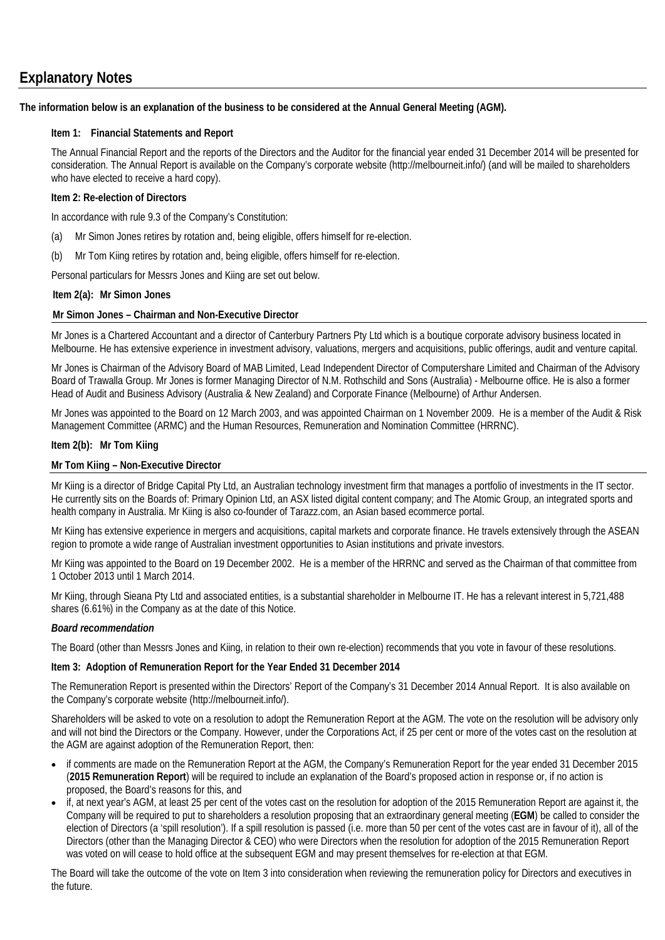# **Explanatory Notes**

#### **The information below is an explanation of the business to be considered at the Annual General Meeting (AGM).**

### **Item 1: Financial Statements and Report**

The Annual Financial Report and the reports of the Directors and the Auditor for the financial year ended 31 December 2014 will be presented for consideration. The Annual Report is available on the Company's corporate website (http://melbourneit.info/) (and will be mailed to shareholders who have elected to receive a hard copy).

#### **Item 2: Re-election of Directors**

In accordance with rule 9.3 of the Company's Constitution:

- (a) Mr Simon Jones retires by rotation and, being eligible, offers himself for re-election.
- (b) Mr Tom Kiing retires by rotation and, being eligible, offers himself for re-election.

Personal particulars for Messrs Jones and Kiing are set out below.

#### **Item 2(a): Mr Simon Jones**

#### **Mr Simon Jones – Chairman and Non-Executive Director**

Mr Jones is a Chartered Accountant and a director of Canterbury Partners Pty Ltd which is a boutique corporate advisory business located in Melbourne. He has extensive experience in investment advisory, valuations, mergers and acquisitions, public offerings, audit and venture capital.

Mr Jones is Chairman of the Advisory Board of MAB Limited, Lead Independent Director of Computershare Limited and Chairman of the Advisory Board of Trawalla Group. Mr Jones is former Managing Director of N.M. Rothschild and Sons (Australia) - Melbourne office. He is also a former Head of Audit and Business Advisory (Australia & New Zealand) and Corporate Finance (Melbourne) of Arthur Andersen.

Mr Jones was appointed to the Board on 12 March 2003, and was appointed Chairman on 1 November 2009. He is a member of the Audit & Risk Management Committee (ARMC) and the Human Resources, Remuneration and Nomination Committee (HRRNC).

#### **Item 2(b): Mr Tom Kiing**

#### **Mr Tom Kiing – Non-Executive Director**

Mr Kiing is a director of Bridge Capital Pty Ltd, an Australian technology investment firm that manages a portfolio of investments in the IT sector. He currently sits on the Boards of: Primary Opinion Ltd, an ASX listed digital content company; and The Atomic Group, an integrated sports and health company in Australia. Mr Kiing is also co-founder of Tarazz.com, an Asian based ecommerce portal.

Mr Kiing has extensive experience in mergers and acquisitions, capital markets and corporate finance. He travels extensively through the ASEAN region to promote a wide range of Australian investment opportunities to Asian institutions and private investors.

Mr Kiing was appointed to the Board on 19 December 2002. He is a member of the HRRNC and served as the Chairman of that committee from 1 October 2013 until 1 March 2014.

Mr Kiing, through Sieana Pty Ltd and associated entities, is a substantial shareholder in Melbourne IT. He has a relevant interest in 5,721,488 shares (6.61%) in the Company as at the date of this Notice.

#### *Board recommendation*

The Board (other than Messrs Jones and Kiing, in relation to their own re-election) recommends that you vote in favour of these resolutions.

#### **Item 3: Adoption of Remuneration Report for the Year Ended 31 December 2014**

The Remuneration Report is presented within the Directors' Report of the Company's 31 December 2014 Annual Report. It is also available on the Company's corporate website (http://melbourneit.info/).

Shareholders will be asked to vote on a resolution to adopt the Remuneration Report at the AGM. The vote on the resolution will be advisory only and will not bind the Directors or the Company. However, under the Corporations Act, if 25 per cent or more of the votes cast on the resolution at the AGM are against adoption of the Remuneration Report, then:

- if comments are made on the Remuneration Report at the AGM, the Company's Remuneration Report for the year ended 31 December 2015 (**2015 Remuneration Report**) will be required to include an explanation of the Board's proposed action in response or, if no action is proposed, the Board's reasons for this, and
- if, at next year's AGM, at least 25 per cent of the votes cast on the resolution for adoption of the 2015 Remuneration Report are against it, the Company will be required to put to shareholders a resolution proposing that an extraordinary general meeting (**EGM**) be called to consider the election of Directors (a 'spill resolution'). If a spill resolution is passed (i.e. more than 50 per cent of the votes cast are in favour of it), all of the Directors (other than the Managing Director & CEO) who were Directors when the resolution for adoption of the 2015 Remuneration Report was voted on will cease to hold office at the subsequent EGM and may present themselves for re-election at that EGM.

The Board will take the outcome of the vote on Item 3 into consideration when reviewing the remuneration policy for Directors and executives in the future.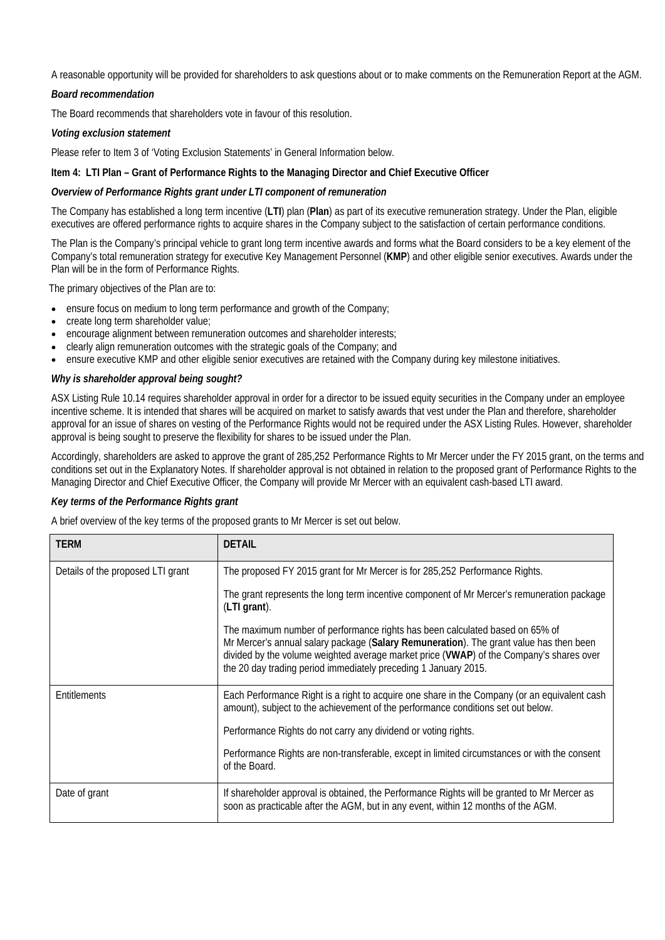A reasonable opportunity will be provided for shareholders to ask questions about or to make comments on the Remuneration Report at the AGM.

#### *Board recommendation*

The Board recommends that shareholders vote in favour of this resolution.

#### *Voting exclusion statement*

Please refer to Item 3 of 'Voting Exclusion Statements' in General Information below.

#### **Item 4: LTI Plan – Grant of Performance Rights to the Managing Director and Chief Executive Officer**

#### *Overview of Performance Rights grant under LTI component of remuneration*

The Company has established a long term incentive (**LTI**) plan (**Plan**) as part of its executive remuneration strategy. Under the Plan, eligible executives are offered performance rights to acquire shares in the Company subject to the satisfaction of certain performance conditions.

The Plan is the Company's principal vehicle to grant long term incentive awards and forms what the Board considers to be a key element of the Company's total remuneration strategy for executive Key Management Personnel (**KMP**) and other eligible senior executives. Awards under the Plan will be in the form of Performance Rights.

The primary objectives of the Plan are to:

- ensure focus on medium to long term performance and growth of the Company;
- create long term shareholder value;
- encourage alignment between remuneration outcomes and shareholder interests;
- clearly align remuneration outcomes with the strategic goals of the Company; and
- ensure executive KMP and other eligible senior executives are retained with the Company during key milestone initiatives.

#### *Why is shareholder approval being sought?*

ASX Listing Rule 10.14 requires shareholder approval in order for a director to be issued equity securities in the Company under an employee incentive scheme. It is intended that shares will be acquired on market to satisfy awards that vest under the Plan and therefore, shareholder approval for an issue of shares on vesting of the Performance Rights would not be required under the ASX Listing Rules. However, shareholder approval is being sought to preserve the flexibility for shares to be issued under the Plan.

Accordingly, shareholders are asked to approve the grant of 285,252 Performance Rights to Mr Mercer under the FY 2015 grant, on the terms and conditions set out in the Explanatory Notes. If shareholder approval is not obtained in relation to the proposed grant of Performance Rights to the Managing Director and Chief Executive Officer, the Company will provide Mr Mercer with an equivalent cash-based LTI award.

#### *Key terms of the Performance Rights grant*

A brief overview of the key terms of the proposed grants to Mr Mercer is set out below.

| TERM                              | <b>DETAIL</b>                                                                                                                                                                                                                                                                                                                        |
|-----------------------------------|--------------------------------------------------------------------------------------------------------------------------------------------------------------------------------------------------------------------------------------------------------------------------------------------------------------------------------------|
| Details of the proposed LTI grant | The proposed FY 2015 grant for Mr Mercer is for 285,252 Performance Rights.                                                                                                                                                                                                                                                          |
|                                   | The grant represents the long term incentive component of Mr Mercer's remuneration package<br>(LTI grant).                                                                                                                                                                                                                           |
|                                   | The maximum number of performance rights has been calculated based on 65% of<br>Mr Mercer's annual salary package (Salary Remuneration). The grant value has then been<br>divided by the volume weighted average market price (VWAP) of the Company's shares over<br>the 20 day trading period immediately preceding 1 January 2015. |
| Entitlements                      | Each Performance Right is a right to acquire one share in the Company (or an equivalent cash<br>amount), subject to the achievement of the performance conditions set out below.                                                                                                                                                     |
|                                   | Performance Rights do not carry any dividend or voting rights.                                                                                                                                                                                                                                                                       |
|                                   | Performance Rights are non-transferable, except in limited circumstances or with the consent<br>of the Board.                                                                                                                                                                                                                        |
| Date of grant                     | If shareholder approval is obtained, the Performance Rights will be granted to Mr Mercer as<br>soon as practicable after the AGM, but in any event, within 12 months of the AGM.                                                                                                                                                     |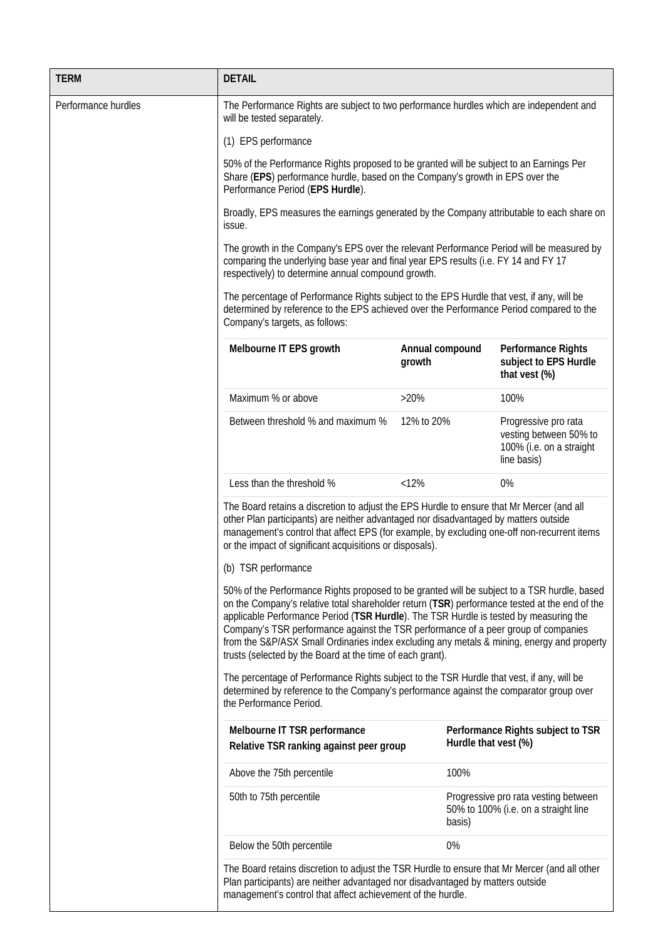| <b>TERM</b>         | <b>DETAIL</b>                                                                                                                                                                                                                                                                                                                                                                                                                                                                                                                          |                           |                                                                                           |  |  |  |
|---------------------|----------------------------------------------------------------------------------------------------------------------------------------------------------------------------------------------------------------------------------------------------------------------------------------------------------------------------------------------------------------------------------------------------------------------------------------------------------------------------------------------------------------------------------------|---------------------------|-------------------------------------------------------------------------------------------|--|--|--|
| Performance hurdles | The Performance Rights are subject to two performance hurdles which are independent and<br>will be tested separately.                                                                                                                                                                                                                                                                                                                                                                                                                  |                           |                                                                                           |  |  |  |
|                     | (1) EPS performance                                                                                                                                                                                                                                                                                                                                                                                                                                                                                                                    |                           |                                                                                           |  |  |  |
|                     | 50% of the Performance Rights proposed to be granted will be subject to an Earnings Per<br>Share (EPS) performance hurdle, based on the Company's growth in EPS over the<br>Performance Period (EPS Hurdle).                                                                                                                                                                                                                                                                                                                           |                           |                                                                                           |  |  |  |
|                     | Broadly, EPS measures the earnings generated by the Company attributable to each share on<br>issue.                                                                                                                                                                                                                                                                                                                                                                                                                                    |                           |                                                                                           |  |  |  |
|                     | The growth in the Company's EPS over the relevant Performance Period will be measured by<br>comparing the underlying base year and final year EPS results (i.e. FY 14 and FY 17<br>respectively) to determine annual compound growth.                                                                                                                                                                                                                                                                                                  |                           |                                                                                           |  |  |  |
|                     | The percentage of Performance Rights subject to the EPS Hurdle that vest, if any, will be<br>determined by reference to the EPS achieved over the Performance Period compared to the<br>Company's targets, as follows:                                                                                                                                                                                                                                                                                                                 |                           |                                                                                           |  |  |  |
|                     | Melbourne IT EPS growth                                                                                                                                                                                                                                                                                                                                                                                                                                                                                                                | Annual compound<br>growth | Performance Rights<br>subject to EPS Hurdle<br>that vest (%)                              |  |  |  |
|                     | Maximum % or above                                                                                                                                                                                                                                                                                                                                                                                                                                                                                                                     | $>20\%$                   | 100%                                                                                      |  |  |  |
|                     | Between threshold % and maximum %                                                                                                                                                                                                                                                                                                                                                                                                                                                                                                      | 12% to 20%                | Progressive pro rata<br>vesting between 50% to<br>100% (i.e. on a straight<br>line basis) |  |  |  |
|                     | Less than the threshold %                                                                                                                                                                                                                                                                                                                                                                                                                                                                                                              | < 12%                     | 0%                                                                                        |  |  |  |
|                     | The Board retains a discretion to adjust the EPS Hurdle to ensure that Mr Mercer (and all<br>other Plan participants) are neither advantaged nor disadvantaged by matters outside<br>management's control that affect EPS (for example, by excluding one-off non-recurrent items<br>or the impact of significant acquisitions or disposals).                                                                                                                                                                                           |                           |                                                                                           |  |  |  |
|                     | (b) TSR performance                                                                                                                                                                                                                                                                                                                                                                                                                                                                                                                    |                           |                                                                                           |  |  |  |
|                     | 50% of the Performance Rights proposed to be granted will be subject to a TSR hurdle, based<br>on the Company's relative total shareholder return (TSR) performance tested at the end of the<br>applicable Performance Period (TSR Hurdle). The TSR Hurdle is tested by measuring the<br>Company's TSR performance against the TSR performance of a peer group of companies<br>from the S&P/ASX Small Ordinaries index excluding any metals & mining, energy and property<br>trusts (selected by the Board at the time of each grant). |                           |                                                                                           |  |  |  |
|                     | The percentage of Performance Rights subject to the TSR Hurdle that vest, if any, will be<br>determined by reference to the Company's performance against the comparator group over<br>the Performance Period.                                                                                                                                                                                                                                                                                                                         |                           |                                                                                           |  |  |  |
|                     | Melbourne IT TSR performance<br>Relative TSR ranking against peer group                                                                                                                                                                                                                                                                                                                                                                                                                                                                | Hurdle that vest (%)      | Performance Rights subject to TSR                                                         |  |  |  |
|                     | Above the 75th percentile                                                                                                                                                                                                                                                                                                                                                                                                                                                                                                              | 100%                      |                                                                                           |  |  |  |
|                     | 50th to 75th percentile                                                                                                                                                                                                                                                                                                                                                                                                                                                                                                                | basis)                    | Progressive pro rata vesting between<br>50% to 100% (i.e. on a straight line              |  |  |  |
|                     | Below the 50th percentile                                                                                                                                                                                                                                                                                                                                                                                                                                                                                                              | 0%                        |                                                                                           |  |  |  |
|                     | The Board retains discretion to adjust the TSR Hurdle to ensure that Mr Mercer (and all other<br>Plan participants) are neither advantaged nor disadvantaged by matters outside<br>management's control that affect achievement of the hurdle.                                                                                                                                                                                                                                                                                         |                           |                                                                                           |  |  |  |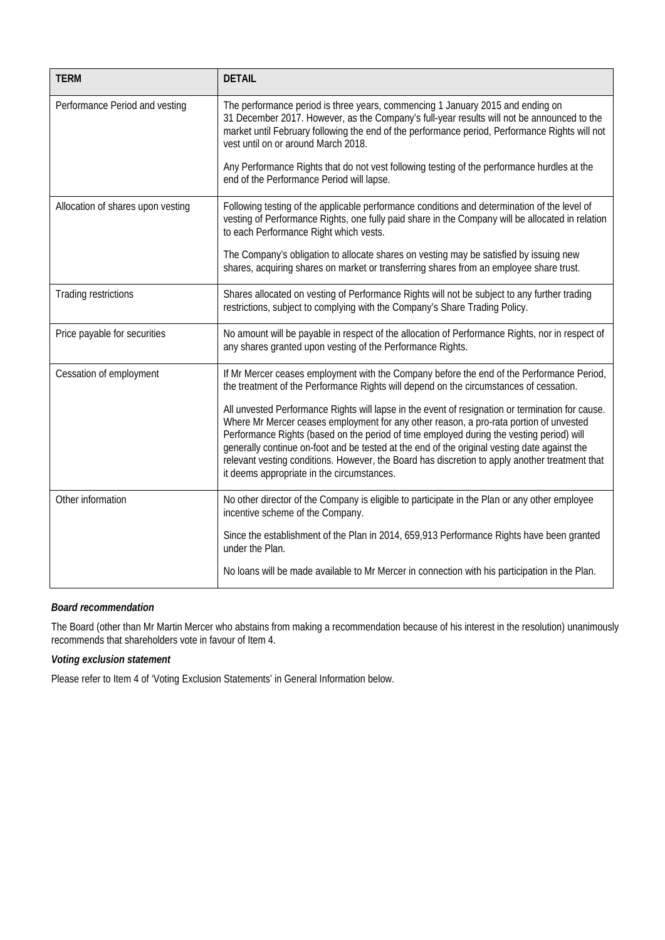| <b>TERM</b>                       | <b>DETAIL</b>                                                                                                                                                                                                                                                                                                                                                                                                                                                                                                                          |  |  |  |  |
|-----------------------------------|----------------------------------------------------------------------------------------------------------------------------------------------------------------------------------------------------------------------------------------------------------------------------------------------------------------------------------------------------------------------------------------------------------------------------------------------------------------------------------------------------------------------------------------|--|--|--|--|
| Performance Period and vesting    | The performance period is three years, commencing 1 January 2015 and ending on<br>31 December 2017. However, as the Company's full-year results will not be announced to the<br>market until February following the end of the performance period, Performance Rights will not<br>vest until on or around March 2018.                                                                                                                                                                                                                  |  |  |  |  |
|                                   | Any Performance Rights that do not vest following testing of the performance hurdles at the<br>end of the Performance Period will lapse.                                                                                                                                                                                                                                                                                                                                                                                               |  |  |  |  |
| Allocation of shares upon vesting | Following testing of the applicable performance conditions and determination of the level of<br>vesting of Performance Rights, one fully paid share in the Company will be allocated in relation<br>to each Performance Right which vests.                                                                                                                                                                                                                                                                                             |  |  |  |  |
|                                   | The Company's obligation to allocate shares on vesting may be satisfied by issuing new<br>shares, acquiring shares on market or transferring shares from an employee share trust.                                                                                                                                                                                                                                                                                                                                                      |  |  |  |  |
| Trading restrictions              | Shares allocated on vesting of Performance Rights will not be subject to any further trading<br>restrictions, subject to complying with the Company's Share Trading Policy.                                                                                                                                                                                                                                                                                                                                                            |  |  |  |  |
| Price payable for securities      | No amount will be payable in respect of the allocation of Performance Rights, nor in respect of<br>any shares granted upon vesting of the Performance Rights.                                                                                                                                                                                                                                                                                                                                                                          |  |  |  |  |
| Cessation of employment           | If Mr Mercer ceases employment with the Company before the end of the Performance Period,<br>the treatment of the Performance Rights will depend on the circumstances of cessation.                                                                                                                                                                                                                                                                                                                                                    |  |  |  |  |
|                                   | All unvested Performance Rights will lapse in the event of resignation or termination for cause.<br>Where Mr Mercer ceases employment for any other reason, a pro-rata portion of unvested<br>Performance Rights (based on the period of time employed during the vesting period) will<br>generally continue on-foot and be tested at the end of the original vesting date against the<br>relevant vesting conditions. However, the Board has discretion to apply another treatment that<br>it deems appropriate in the circumstances. |  |  |  |  |
| Other information                 | No other director of the Company is eligible to participate in the Plan or any other employee<br>incentive scheme of the Company.                                                                                                                                                                                                                                                                                                                                                                                                      |  |  |  |  |
|                                   | Since the establishment of the Plan in 2014, 659,913 Performance Rights have been granted<br>under the Plan.                                                                                                                                                                                                                                                                                                                                                                                                                           |  |  |  |  |
|                                   | No loans will be made available to Mr Mercer in connection with his participation in the Plan.                                                                                                                                                                                                                                                                                                                                                                                                                                         |  |  |  |  |

# *Board recommendation*

The Board (other than Mr Martin Mercer who abstains from making a recommendation because of his interest in the resolution) unanimously recommends that shareholders vote in favour of Item 4.

# *Voting exclusion statement*

Please refer to Item 4 of 'Voting Exclusion Statements' in General Information below.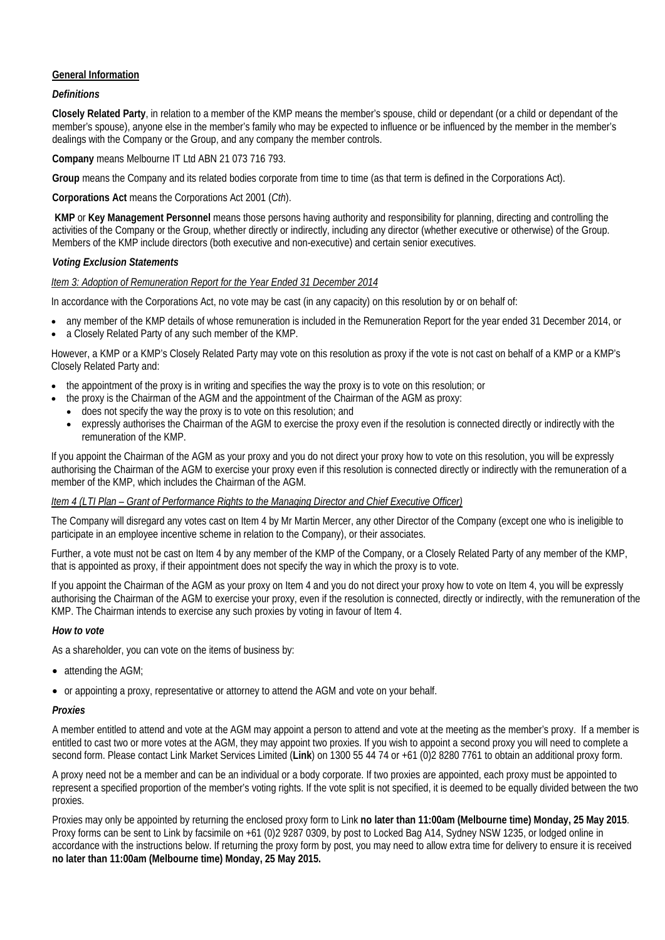# **General Information**

### *Definitions*

**Closely Related Party**, in relation to a member of the KMP means the member's spouse, child or dependant (or a child or dependant of the member's spouse), anyone else in the member's family who may be expected to influence or be influenced by the member in the member's dealings with the Company or the Group, and any company the member controls.

**Company** means Melbourne IT Ltd ABN 21 073 716 793.

**Group** means the Company and its related bodies corporate from time to time (as that term is defined in the Corporations Act).

**Corporations Act** means the Corporations Act 2001 (*Cth*).

**KMP** or **Key Management Personnel** means those persons having authority and responsibility for planning, directing and controlling the activities of the Company or the Group, whether directly or indirectly, including any director (whether executive or otherwise) of the Group. Members of the KMP include directors (both executive and non-executive) and certain senior executives.

#### *Voting Exclusion Statements*

#### *Item 3: Adoption of Remuneration Report for the Year Ended 31 December 2014*

In accordance with the Corporations Act, no vote may be cast (in any capacity) on this resolution by or on behalf of:

- any member of the KMP details of whose remuneration is included in the Remuneration Report for the year ended 31 December 2014, or
- a Closely Related Party of any such member of the KMP.

However, a KMP or a KMP's Closely Related Party may vote on this resolution as proxy if the vote is not cast on behalf of a KMP or a KMP's Closely Related Party and:

- the appointment of the proxy is in writing and specifies the way the proxy is to vote on this resolution; or
- the proxy is the Chairman of the AGM and the appointment of the Chairman of the AGM as proxy:
- does not specify the way the proxy is to vote on this resolution; and
- expressly authorises the Chairman of the AGM to exercise the proxy even if the resolution is connected directly or indirectly with the remuneration of the KMP.

If you appoint the Chairman of the AGM as your proxy and you do not direct your proxy how to vote on this resolution, you will be expressly authorising the Chairman of the AGM to exercise your proxy even if this resolution is connected directly or indirectly with the remuneration of a member of the KMP, which includes the Chairman of the AGM.

#### *Item 4 (LTI Plan – Grant of Performance Rights to the Managing Director and Chief Executive Officer)*

The Company will disregard any votes cast on Item 4 by Mr Martin Mercer, any other Director of the Company (except one who is ineligible to participate in an employee incentive scheme in relation to the Company), or their associates.

Further, a vote must not be cast on Item 4 by any member of the KMP of the Company, or a Closely Related Party of any member of the KMP, that is appointed as proxy, if their appointment does not specify the way in which the proxy is to vote.

If you appoint the Chairman of the AGM as your proxy on Item 4 and you do not direct your proxy how to vote on Item 4, you will be expressly authorising the Chairman of the AGM to exercise your proxy, even if the resolution is connected, directly or indirectly, with the remuneration of the KMP. The Chairman intends to exercise any such proxies by voting in favour of Item 4.

#### *How to vote*

As a shareholder, you can vote on the items of business by:

- attending the AGM;
- or appointing a proxy, representative or attorney to attend the AGM and vote on your behalf.

#### *Proxies*

A member entitled to attend and vote at the AGM may appoint a person to attend and vote at the meeting as the member's proxy. If a member is entitled to cast two or more votes at the AGM, they may appoint two proxies. If you wish to appoint a second proxy you will need to complete a second form. Please contact Link Market Services Limited (**Link**) on 1300 55 44 74 or +61 (0)2 8280 7761 to obtain an additional proxy form.

A proxy need not be a member and can be an individual or a body corporate. If two proxies are appointed, each proxy must be appointed to represent a specified proportion of the member's voting rights. If the vote split is not specified, it is deemed to be equally divided between the two proxies.

Proxies may only be appointed by returning the enclosed proxy form to Link **no later than 11:00am (Melbourne time) Monday, 25 May 2015**. Proxy forms can be sent to Link by facsimile on +61 (0)2 9287 0309, by post to Locked Bag A14, Sydney NSW 1235, or lodged online in accordance with the instructions below. If returning the proxy form by post, you may need to allow extra time for delivery to ensure it is received **no later than 11:00am (Melbourne time) Monday, 25 May 2015.**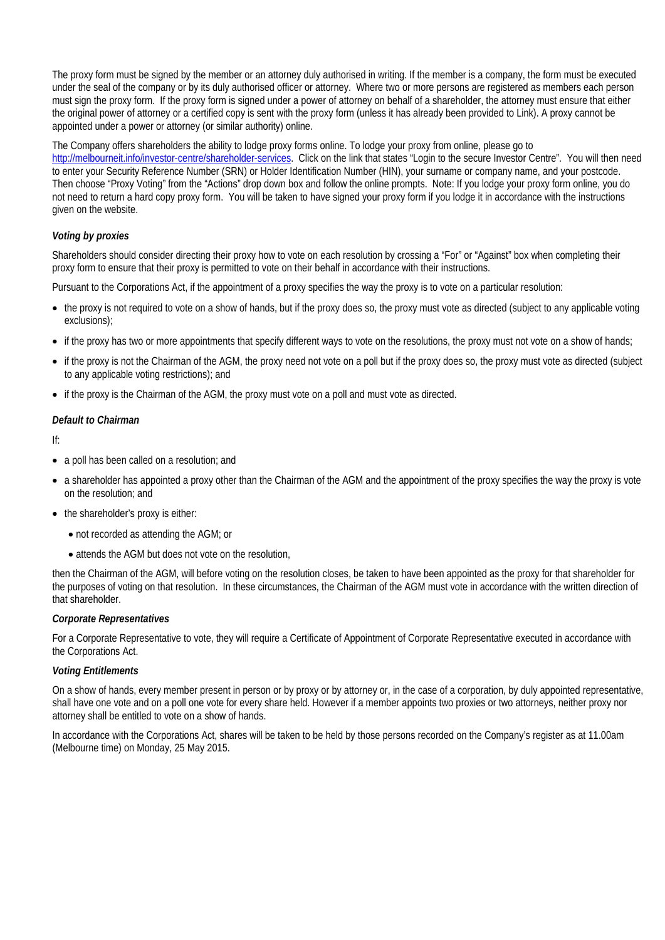The proxy form must be signed by the member or an attorney duly authorised in writing. If the member is a company, the form must be executed under the seal of the company or by its duly authorised officer or attorney. Where two or more persons are registered as members each person must sign the proxy form. If the proxy form is signed under a power of attorney on behalf of a shareholder, the attorney must ensure that either the original power of attorney or a certified copy is sent with the proxy form (unless it has already been provided to Link). A proxy cannot be appointed under a power or attorney (or similar authority) online.

The Company offers shareholders the ability to lodge proxy forms online. To lodge your proxy from online, please go to

[http://melbourneit.info/investor-centre/shareholder-services.](http://melbourneit.info/investor-centre/shareholder-services) Click on the link that states "Login to the secure Investor Centre". You will then need to enter your Security Reference Number (SRN) or Holder Identification Number (HIN), your surname or company name, and your postcode. Then choose "Proxy Voting" from the "Actions" drop down box and follow the online prompts. Note: If you lodge your proxy form online, you do not need to return a hard copy proxy form. You will be taken to have signed your proxy form if you lodge it in accordance with the instructions given on the website.

#### *Voting by proxies*

Shareholders should consider directing their proxy how to vote on each resolution by crossing a "For" or "Against" box when completing their proxy form to ensure that their proxy is permitted to vote on their behalf in accordance with their instructions.

Pursuant to the Corporations Act, if the appointment of a proxy specifies the way the proxy is to vote on a particular resolution:

- the proxy is not required to vote on a show of hands, but if the proxy does so, the proxy must vote as directed (subject to any applicable voting exclusions);
- if the proxy has two or more appointments that specify different ways to vote on the resolutions, the proxy must not vote on a show of hands;
- if the proxy is not the Chairman of the AGM, the proxy need not vote on a poll but if the proxy does so, the proxy must vote as directed (subject to any applicable voting restrictions); and
- if the proxy is the Chairman of the AGM, the proxy must vote on a poll and must vote as directed.

#### *Default to Chairman*

If:

- a poll has been called on a resolution; and
- a shareholder has appointed a proxy other than the Chairman of the AGM and the appointment of the proxy specifies the way the proxy is vote on the resolution; and
- the shareholder's proxy is either:
	- not recorded as attending the AGM; or
	- attends the AGM but does not vote on the resolution,

then the Chairman of the AGM, will before voting on the resolution closes, be taken to have been appointed as the proxy for that shareholder for the purposes of voting on that resolution. In these circumstances, the Chairman of the AGM must vote in accordance with the written direction of that shareholder.

#### *Corporate Representatives*

For a Corporate Representative to vote, they will require a Certificate of Appointment of Corporate Representative executed in accordance with the Corporations Act.

#### *Voting Entitlements*

On a show of hands, every member present in person or by proxy or by attorney or, in the case of a corporation, by duly appointed representative, shall have one vote and on a poll one vote for every share held. However if a member appoints two proxies or two attorneys, neither proxy nor attorney shall be entitled to vote on a show of hands.

In accordance with the Corporations Act, shares will be taken to be held by those persons recorded on the Company's register as at 11.00am (Melbourne time) on Monday, 25 May 2015.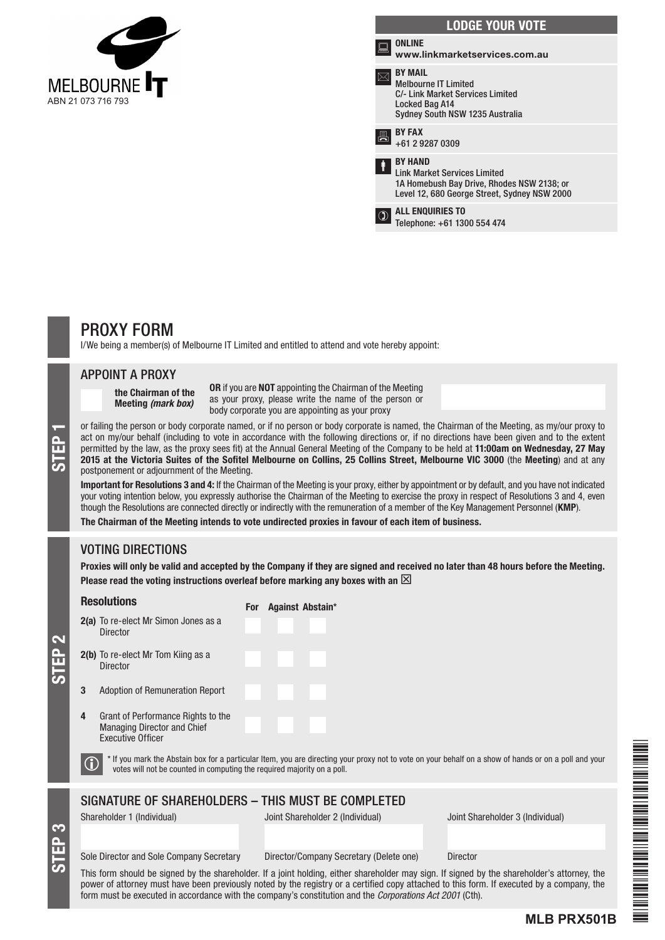

| <b>ONLINE</b><br>ᆖ<br>www.linkmarketservices.com.au<br><b>BY MAIL</b><br><b>Melbourne IT Limited</b><br>C/- Link Market Services Limited<br>Locked Bag A14<br>Sydney South NSW 1235 Australia<br><b>BY FAX</b><br>昌<br>+61 2 9287 0309<br><b>BY HAND</b><br>İ<br><b>Link Market Services Limited</b><br>1A Homebush Bay Drive, Rhodes NSW 2138; or<br>Level 12, 680 George Street, Sydney NSW 2000<br><b>ALL ENQUIRIES TO</b><br>Telephone: +61 1300 554 474 | <b>LODGE YOUR VOTE</b> |
|--------------------------------------------------------------------------------------------------------------------------------------------------------------------------------------------------------------------------------------------------------------------------------------------------------------------------------------------------------------------------------------------------------------------------------------------------------------|------------------------|
|                                                                                                                                                                                                                                                                                                                                                                                                                                                              |                        |
|                                                                                                                                                                                                                                                                                                                                                                                                                                                              |                        |
|                                                                                                                                                                                                                                                                                                                                                                                                                                                              |                        |
|                                                                                                                                                                                                                                                                                                                                                                                                                                                              |                        |
|                                                                                                                                                                                                                                                                                                                                                                                                                                                              |                        |

# PROXY FORM

I/We being a member(s) of Melbourne IT Limited and entitled to attend and vote hereby appoint:

#### APPOINT A PROXY

the Chairman of the Meeting *(mark box)*

OR if you are NOT appointing the Chairman of the Meeting as your proxy, please write the name of the person or body corporate you are appointing as your proxy

or failing the person or body corporate named, or if no person or body corporate is named, the Chairman of the Meeting, as my/our proxy to act on my/our behalf (including to vote in accordance with the following directions act on my/our behalf (including to vote in accordance with the following directions or, if no directions have been given and to the extent permitted by the law, as the proxy sees fit) at the Annual General Meeting of the Company to be held at 11:00am on Wednesday, 27 May 2015 at the Victoria Suites of the Sofitel Melbourne on Collins, 25 Collins Street, Melbourne VIC 3000 (the Meeting) and at any postponement or adjournment of the Meeting.

Important for Resolutions 3 and 4: If the Chairman of the Meeting is your proxy, either by appointment or by default, and you have not indicated your voting intention below, you expressly authorise the Chairman of the Meeting to exercise the proxy in respect of Resolutions 3 and 4, even though the Resolutions are connected directly or indirectly with the remuneration of a member of the Key Management Personnel (KMP).

The Chairman of the Meeting intends to vote undirected proxies in favour of each item of business.

# VOTING DIRECTIONS

Proxies will only be valid and accepted by the Company if they are signed and received no later than 48 hours before the Meeting. Please read the voting instructions overleaf before marking any boxes with an  $\boxtimes$ 

#### **Resolutions** For Against Abstain

|   |                                                                                                      | 1 VI | Ayamot Abotam |
|---|------------------------------------------------------------------------------------------------------|------|---------------|
|   | 2(a) To re-elect Mr Simon Jones as a<br><b>Director</b>                                              |      |               |
|   | <b>2(b)</b> To re-elect Mr Tom Kiing as a<br><b>Director</b>                                         |      |               |
| 3 | <b>Adoption of Remuneration Report</b>                                                               |      |               |
| 4 | Grant of Performance Rights to the<br><b>Managing Director and Chief</b><br><b>Executive Officer</b> |      |               |

STEP 2

STEP 3

 $\bigcirc$  \* If you mark the Abstain box for a particular Item, you are directing your proxy not to vote on your behalf on a show of hands or on a poll and your votes will not be counted in computing the required majority on a

# SIGNATURE OF SHAREHOLDERS – THIS MUST BE COMPLETED

Shareholder 1 (Individual) Joint Shareholder 2 (Individual) Joint Shareholder 3 (Individual)

**MLB PRX501B**

#### Sole Director and Sole Company Secretary Director/Company Secretary (Delete one) Director

This form should be signed by the shareholder. If a joint holding, either shareholder may sign. If signed by the shareholder's attorney, the power of attorney must have been previously noted by the registry or a certified copy attached to this form. If executed by a company, the form must be executed in accordance with the company's constitution and the *Corporations Act 2001* (Cth).